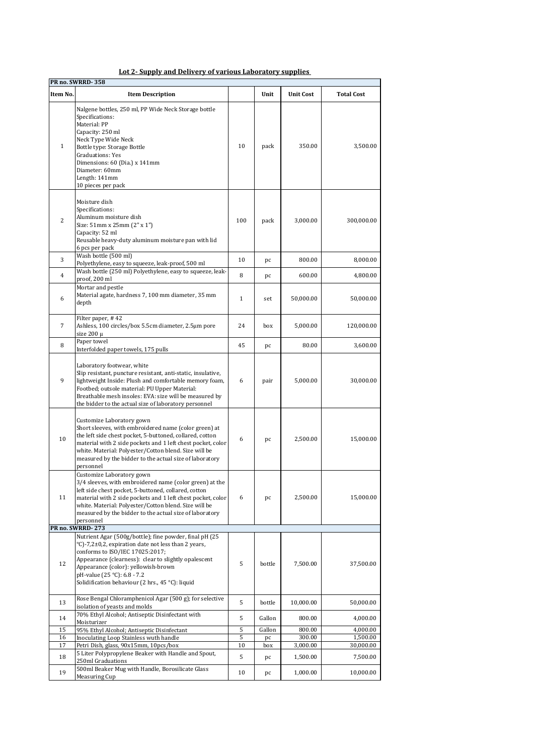| Item No.       | <b>Item Description</b>                                                                                                                                                                                                                                                                                                                        |              | Unit      | <b>Unit Cost</b>   | <b>Total Cost</b>     |
|----------------|------------------------------------------------------------------------------------------------------------------------------------------------------------------------------------------------------------------------------------------------------------------------------------------------------------------------------------------------|--------------|-----------|--------------------|-----------------------|
| $\mathbf{1}$   | Nalgene bottles, 250 ml, PP Wide Neck Storage bottle<br>Specifications:<br>Material: PP<br>Capacity: 250 ml<br>Neck Type Wide Neck<br>Bottle type: Storage Bottle<br>Graduations: Yes<br>Dimensions: 60 (Dia.) x 141mm<br>Diameter: 60mm<br>Length: 141mm<br>10 pieces per pack                                                                | 10           | pack      | 350.00             | 3,500.00              |
| $\overline{2}$ | Moisture dish<br>Specifications:<br>Aluminum moisture dish<br>Size: 51mm x 25mm (2" x 1")<br>Capacity: 52 ml<br>Reusable heavy-duty aluminum moisture pan with lid<br>6 pcs per pack                                                                                                                                                           | 100          | pack      | 3,000.00           | 300,000.00            |
| 3              | Wash bottle (500 ml)<br>Polyethylene, easy to squeeze, leak-proof, 500 ml                                                                                                                                                                                                                                                                      | 10           | pc        | 800.00             | 8,000.00              |
| $\overline{4}$ | Wash bottle (250 ml) Polyethylene, easy to squeeze, leak-<br>proof, 200 ml                                                                                                                                                                                                                                                                     | 8            | pc        | 600.00             | 4,800.00              |
| 6              | Mortar and pestle<br>Material agate, hardness 7, 100 mm diameter, 35 mm<br>depth                                                                                                                                                                                                                                                               | $\mathbf{1}$ | set       | 50,000.00          | 50,000.00             |
| 7              | Filter paper, #42<br>Ashless, 100 circles/box 5.5cm diameter, 2.5µm pore<br>size $200 \mu$                                                                                                                                                                                                                                                     | 24           | box       | 5,000.00           | 120,000.00            |
| 8              | Paper towel<br>Interfolded paper towels, 175 pulls                                                                                                                                                                                                                                                                                             | 45           | pc        | 80.00              | 3,600.00              |
| 9              | Laboratory footwear, white<br>Slip resistant, puncture resistant, anti-static, insulative,<br>lightweight Inside: Plush and comfortable memory foam,<br>Footbed; outsole material: PU Upper Material:<br>Breathable mesh insoles: EVA: size will be measured by<br>the bidder to the actual size of laboratory personnel                       | 6            | pair      | 5,000.00           | 30,000.00             |
| 10             | Customize Laboratory gown<br>Short sleeves, with embroidered name (color green) at<br>the left side chest pocket, 5-buttoned, collared, cotton<br>material with 2 side pockets and 1 left chest pocket, color<br>white. Material: Polyester/Cotton blend. Size will be<br>measured by the bidder to the actual size of laboratory<br>personnel | 6            | pc        | 2,500.00           | 15,000.00             |
| 11             | Customize Laboratory gown<br>3/4 sleeves, with embroidered name (color green) at the<br>left side chest pocket, 5-buttoned, collared, cotton<br>material with 2 side pockets and 1 left chest pocket, color<br>white. Material: Polyester/Cotton blend. Size will be<br>measured by the bidder to the actual size of laboratory<br>personnel   | 6            | pc        | 2,500.00           | 15,000.00             |
|                | PR no. SWRRD-273<br>Nutrient Agar (500g/bottle); fine powder, final pH (25                                                                                                                                                                                                                                                                     |              |           |                    |                       |
| 12             | °C)-7,2±0,2, expiration date not less than 2 years,<br>conforms to ISO/IEC 17025:2017;<br>Appearance (clearness): clear to slightly opalescent<br>Appearance (color): yellowish-brown<br>pH-value (25 °C): 6.8 - 7.2<br>Solidification behaviour (2 hrs., 45 °C): liquid                                                                       | 5            | bottle    | 7,500.00           | 37,500.00             |
| 13             | Rose Bengal Chloramphenicol Agar (500 g); for selective<br>isolation of yeasts and molds                                                                                                                                                                                                                                                       | 5            | bottle    | 10,000.00          | 50,000.00             |
| 14             | 70% Ethyl Alcohol; Antiseptic Disinfectant with<br>Moisturizer                                                                                                                                                                                                                                                                                 | 5            | Gallon    | 800.00             | 4,000.00              |
| 15             | 95% Ethyl Alcohol; Antiseptic Disinfectant                                                                                                                                                                                                                                                                                                     | 5            | Gallon    | 800.00             | 4,000.00              |
| 16<br>17       | Inoculating Loop Stainless wuth handle<br>Petri Dish, glass, 90x15mm, 10pcs/box                                                                                                                                                                                                                                                                | 5<br>10      | pc<br>box | 300.00<br>3,000.00 | 1,500.00<br>30,000.00 |
| 18             | 5 Liter Polypropylene Beaker with Handle and Spout,                                                                                                                                                                                                                                                                                            | 5            | pc        | 1,500.00           | 7,500.00              |
| 19             | 250ml Graduations<br>500ml Beaker Mug with Handle, Borosilicate Glass<br>Measuring Cup                                                                                                                                                                                                                                                         | 10           | pc        | 1,000.00           | 10,000.00             |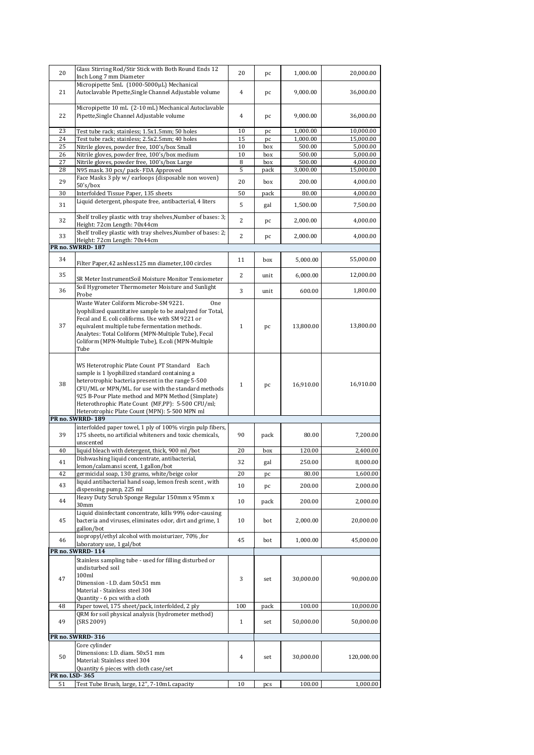| 20       | Glass Stirring Rod/Stir Stick with Both Round Ends 12<br>Inch Long 7 mm Diameter                                                                                                                                                                                                                                                                                      | 20                  | pc          | 1,000.00            | 20,000.00              |
|----------|-----------------------------------------------------------------------------------------------------------------------------------------------------------------------------------------------------------------------------------------------------------------------------------------------------------------------------------------------------------------------|---------------------|-------------|---------------------|------------------------|
| 21       | Micropipette 5mL (1000-5000µL) Mechanical<br>Autoclavable Pipette, Single Channel Adjustable volume                                                                                                                                                                                                                                                                   | 4                   | pc          | 9,000.00            | 36,000.00              |
| 22       | Micropipette 10 mL (2-10 mL) Mechanical Autoclavable<br>Pipette, Single Channel Adjustable volume                                                                                                                                                                                                                                                                     | 4                   | pc          | 9,000.00            | 36,000.00              |
| 23       | Test tube rack; stainless; 1.5x1.5mm; 50 holes                                                                                                                                                                                                                                                                                                                        | 10                  | pc          | 1,000.00            | 10,000.00              |
| 24       | Test tube rack, stainless, 2.5x2.5mm, 40 holes                                                                                                                                                                                                                                                                                                                        | 15                  | pc          | 1,000.00            | 15,000.00              |
| 25       | Nitrile gloves, powder free, 100's/box Small                                                                                                                                                                                                                                                                                                                          | 10                  | box         | 500.00              | 5,000.00               |
| 26<br>27 | Nitrile gloves, powder free, 100's/box medium<br>Nitrile gloves, powder free, 100's/box Large                                                                                                                                                                                                                                                                         | 10<br>8             | box<br>box  | 500.00<br>500.00    | 5,000.00<br>4,000.00   |
| 28       | N95 mask. 30 pcs/ pack- FDA Approved                                                                                                                                                                                                                                                                                                                                  | 5                   | pack        | 3,000.00            | 15,000.00              |
| 29       | Face Masks 3 ply w/ earloops (disposable non woven)                                                                                                                                                                                                                                                                                                                   | 20                  |             | 200.00              | 4,000.00               |
|          | 50's/box                                                                                                                                                                                                                                                                                                                                                              |                     | box         |                     |                        |
| 30       | Interfolded Tissue Paper, 135 sheets                                                                                                                                                                                                                                                                                                                                  | 50                  | pack        | 80.00               | 4,000.00               |
| 31       | Liquid detergent, phospate free, antibacterial, 4 liters                                                                                                                                                                                                                                                                                                              | 5                   | gal         | 1,500.00            | 7,500.00               |
| 32       | Shelf trolley plastic with tray shelves, Number of bases: 3;<br>Height: 72cm Length: 70x44cm                                                                                                                                                                                                                                                                          | 2                   | pc          | 2,000.00            | 4,000.00               |
| 33       | Shelf trolley plastic with tray shelves, Number of bases: 2;<br>Height: 72cm Length: 70x44cm                                                                                                                                                                                                                                                                          | 2                   | pc          | 2,000.00            | 4,000.00               |
|          | PR no. SWRRD-187                                                                                                                                                                                                                                                                                                                                                      |                     |             |                     |                        |
| 34       | Filter Paper, 42 ashless 125 mn diameter, 100 circles                                                                                                                                                                                                                                                                                                                 | 11                  | box         | 5,000.00            | 55,000.00              |
| 35       | SR Meter InstrumentSoil Moisture Monitor Tensiometer                                                                                                                                                                                                                                                                                                                  | 2                   | unit        | 6,000.00            | 12,000.00              |
| 36       | Soil Hygrometer Thermometer Moisture and Sunlight                                                                                                                                                                                                                                                                                                                     | 3                   | unit        | 600.00              | 1,800.00               |
| 37       | Probe<br>Waste Water Coliform Microbe-SM 9221.<br>One<br>lyophilized quantitative sample to be analyzed for Total,<br>Fecal and E. coli coliforms. Use with SM 9221 or<br>equivalent multiple tube fermentation methods.<br>Analytes: Total Coliform (MPN-Multiple Tube), Fecal<br>Coliform (MPN-Multiple Tube), E.coli (MPN-Multiple<br>Tube                         | $\mathbf{1}$        | pc          | 13,800.00           | 13,800.00              |
| 38       | WS Heterotrophic Plate Count PT Standard Each<br>sample is 1 lyophilized standard containing a<br>heterotrophic bacteria present in the range 5-500<br>CFU/ML or MPN/ML. for use with the standard methods<br>925 B-Pour Plate method and MPN Method (Simplate)<br>Heterothrophic Plate Count (MF,PP): 5-500 CFU/ml;<br>Heterotrophic Plate Count (MPN): 5-500 MPN ml | $\mathbf{1}$        | pc          | 16,910.00           | 16,910.00              |
|          | PR no. SWRRD-189                                                                                                                                                                                                                                                                                                                                                      |                     |             |                     |                        |
| 39       | interfolded paper towel, 1 ply of 100% virgin pulp fibers,<br>175 sheets, no artificial whiteners and toxic chemicals,<br>unscented                                                                                                                                                                                                                                   | 90                  | pack        | 80.00               | 7,200.00               |
| 40       | liquid bleach with detergent, thick, 900 ml /bot                                                                                                                                                                                                                                                                                                                      | 20                  | box         | 120.00              | 2,400.00               |
|          | Dishwashing liquid concentrate, antibacterial,                                                                                                                                                                                                                                                                                                                        |                     |             |                     |                        |
| 41       | lemon/calamansi scent, 1 gallon/bot                                                                                                                                                                                                                                                                                                                                   | 32                  | gal         | 250.00              | 8,000.00               |
| 42       | germicidal soap, 130 grams, white/beige color                                                                                                                                                                                                                                                                                                                         | 20                  | pс          | 80.00               | 1,600.00               |
| 43       | liquid antibacterial hand soap, lemon fresh scent, with<br>dispensing pump, 225 ml                                                                                                                                                                                                                                                                                    | 10                  | pc          | 200.00              | 2,000.00               |
| 44       | Heavy Duty Scrub Sponge Regular 150mm x 95mm x<br>30mm                                                                                                                                                                                                                                                                                                                | 10                  | pack        | 200.00              | 2,000.00               |
| 45       | Liquid disinfectant concentrate, kills 99% odor-causing<br>bacteria and viruses, eliminates odor, dirt and grime, 1<br>gallon/bot                                                                                                                                                                                                                                     | 10                  | bot         | 2,000.00            | 20,000.00              |
| 46       | isopropyl/ethyl alcohol with moisturizer, 70%, for<br>laboratory use, 1 gal/bot                                                                                                                                                                                                                                                                                       | 45                  | bot         | 1,000.00            | 45,000.00              |
|          | PR no. SWRRD-114                                                                                                                                                                                                                                                                                                                                                      |                     |             |                     |                        |
| 47       | Stainless sampling tube - used for filling disturbed or<br>undisturbed soil<br>100ml<br>Dimension - I.D. dam 50x51 mm<br>Material - Stainless steel 304                                                                                                                                                                                                               | 3                   | set         | 30,000.00           | 90,000.00              |
|          | Quantity - 6 pcs with a cloth                                                                                                                                                                                                                                                                                                                                         |                     |             |                     |                        |
| 48<br>49 | Paper towel, 175 sheet/pack, interfolded, 2 ply<br>QRM for soil physical analysis (hydrometer method)<br>(SRS 2009)                                                                                                                                                                                                                                                   | 100<br>$\mathbf{1}$ | pack<br>set | 100.00<br>50,000.00 | 10,000.00<br>50,000.00 |
|          | PR no. SWRRD-316                                                                                                                                                                                                                                                                                                                                                      |                     |             |                     |                        |
|          | Core cylinder                                                                                                                                                                                                                                                                                                                                                         |                     |             |                     |                        |
| 50       | Dimensions: I.D. diam. 50x51 mm<br>Material: Stainless steel 304<br>Quantity 6 pieces with cloth case/set                                                                                                                                                                                                                                                             | 4                   | set         | 30,000.00           | 120,000.00             |
|          | PR no. LSD 365                                                                                                                                                                                                                                                                                                                                                        |                     |             |                     |                        |
| 51       | Test Tube Brush, large, 12", 7-10mL capacity                                                                                                                                                                                                                                                                                                                          | 10                  | pcs         | 100.00              | 1,000.00               |